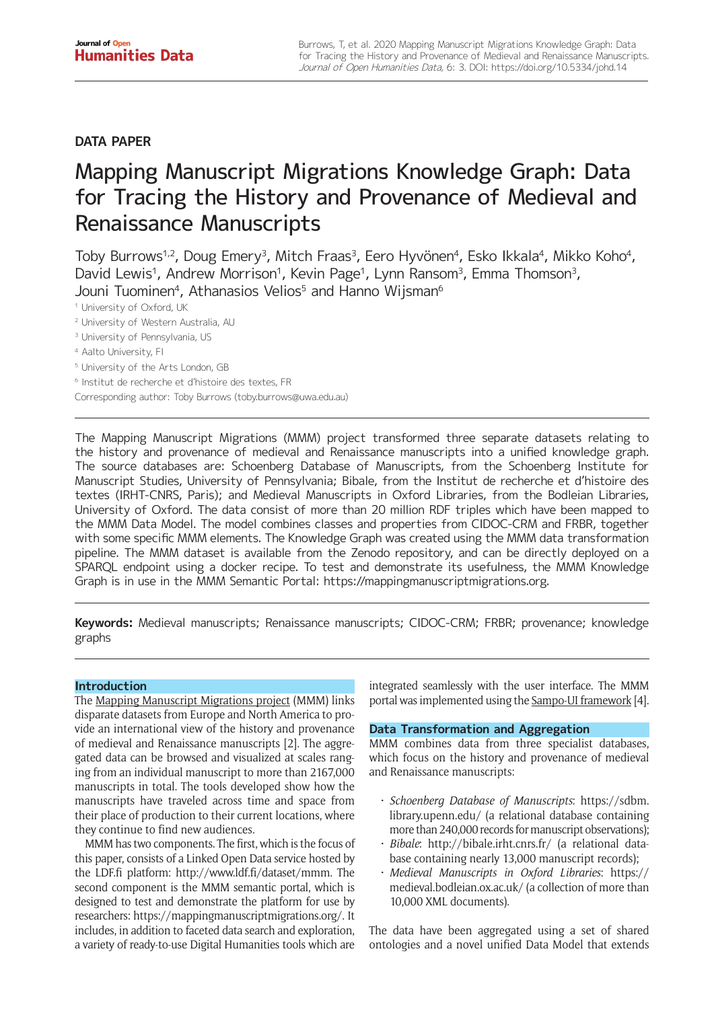# **DATA PAPER**

# Mapping Manuscript Migrations Knowledge Graph: Data for Tracing the History and Provenance of Medieval and Renaissance Manuscripts

Toby Burrows<sup>1,2</sup>, Doug Emery<sup>3</sup>, Mitch Fraas<sup>3</sup>, Eero Hyvönen<sup>4</sup>, Esko Ikkala<sup>4</sup>, Mikko Koho<sup>4</sup>, David Lewis<sup>1</sup>, Andrew Morrison<sup>1</sup>, Kevin Page<sup>1</sup>, Lynn Ransom<sup>3</sup>, Emma Thomson<sup>3</sup>, Jouni Tuominen<sup>4</sup>, Athanasios Velios<sup>5</sup> and Hanno Wijsman<sup>6</sup>

<sup>1</sup> University of Oxford, UK

- <sup>2</sup> University of Western Australia, AU
- <sup>3</sup> University of Pennsylvania, US
- <sup>4</sup> Aalto University, FI
- <sup>5</sup> University of the Arts London, GB
- <sup>6</sup> Institut de recherche et d'histoire des textes, FR
- Corresponding author: Toby Burrows [\(toby.burrows@uwa.edu.au\)](mailto:toby.burrows@uwa.edu.au)

The Mapping Manuscript Migrations (MMM) project transformed three separate datasets relating to the history and provenance of medieval and Renaissance manuscripts into a unified knowledge graph. The source databases are: Schoenberg Database of Manuscripts, from the Schoenberg Institute for Manuscript Studies, University of Pennsylvania; Bibale, from the Institut de recherche et d'histoire des textes (IRHT-CNRS, Paris); and Medieval Manuscripts in Oxford Libraries, from the Bodleian Libraries, University of Oxford. The data consist of more than 20 million RDF triples which have been mapped to the MMM Data Model. The model combines classes and properties from CIDOC-CRM and FRBR, together with some specific MMM elements. The Knowledge Graph was created using the MMM data transformation pipeline. The MMM dataset is available from the Zenodo repository, and can be directly deployed on a SPARQL endpoint using a docker recipe. To test and demonstrate its usefulness, the MMM Knowledge Graph is in use in the MMM Semantic Portal: [https://mappingmanuscriptmigrations.org.](https://mappingmanuscriptmigrations.org)

**Keywords:** Medieval manuscripts; Renaissance manuscripts; CIDOC-CRM; FRBR; provenance; knowledge graphs

# **Introduction**

The [Mapping Manuscript Migrations project](http://blog.mappingmanuscriptmigrations.org/) (MMM) links disparate datasets from Europe and North America to provide an international view of the history and provenance of medieval and Renaissance manuscripts [2]. The aggregated data can be browsed and visualized at scales ranging from an individual manuscript to more than 2167,000 manuscripts in total. The tools developed show how the manuscripts have traveled across time and space from their place of production to their current locations, where they continue to find new audiences.

MMM has two components. The first, which is the focus of this paper, consists of a Linked Open Data service hosted by the LDF.fi platform: <http://www.ldf.fi/dataset/mmm>. The second component is the MMM semantic portal, which is designed to test and demonstrate the platform for use by researchers: <https://mappingmanuscriptmigrations.org/>. It includes, in addition to faceted data search and exploration, a variety of ready-to-use Digital Humanities tools which are

integrated seamlessly with the user interface. The MMM portal was implemented using the [Sampo-UI framework](https://github.com/SemanticComputing/sampo-ui) [4].

# **Data Transformation and Aggregation**

MMM combines data from three specialist databases, which focus on the history and provenance of medieval and Renaissance manuscripts:

- • *Schoenberg Database of Manuscripts*: [https://sdbm.](https://sdbm.library.upenn.edu/) [library.upenn.edu/](https://sdbm.library.upenn.edu/) (a relational database containing more than 240,000 records for manuscript observations);
- Bibale: <http://bibale.irht.cnrs.fr/> (a relational database containing nearly 13,000 manuscript records);
- • *Medieval Manuscripts in Oxford Libraries*: [https://](https://medieval.bodleian.ox.ac.uk/) [medieval.bodleian.ox.ac.uk/](https://medieval.bodleian.ox.ac.uk/) (a collection of more than 10,000 XML documents).

The data have been aggregated using a set of shared ontologies and a novel unified Data Model that extends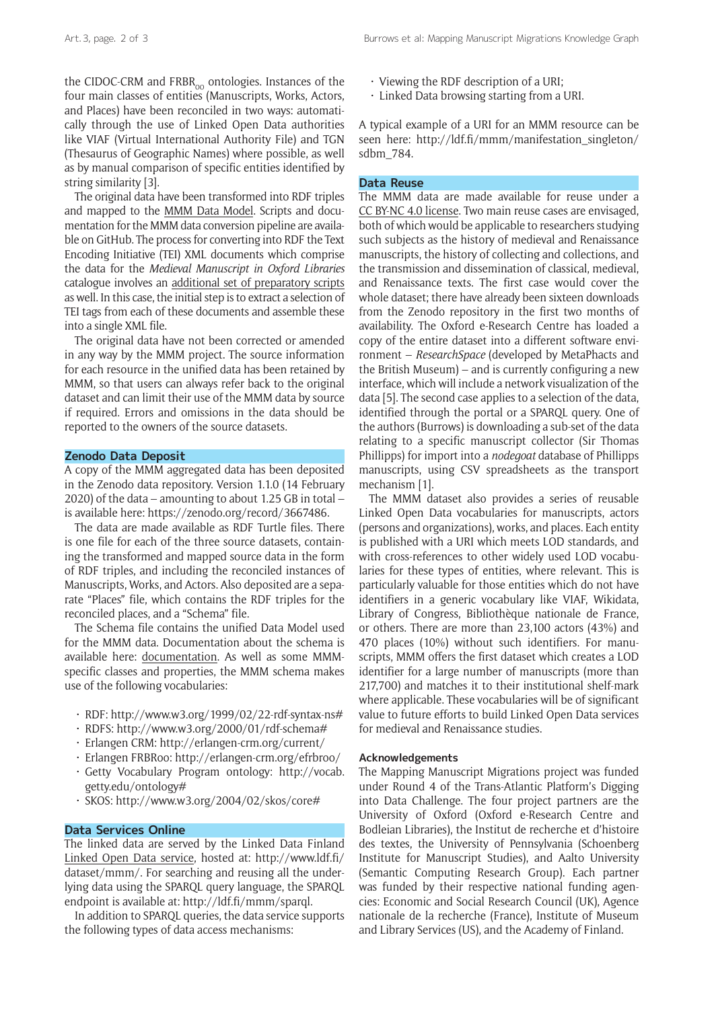the CIDOC-CRM and  $FRBR_{00}$  ontologies. Instances of the four main classes of entities (Manuscripts, Works, Actors, and Places) have been reconciled in two ways: automatically through the use of Linked Open Data authorities like VIAF (Virtual International Authority File) and TGN (Thesaurus of Geographic Names) where possible, as well as by manual comparison of specific entities identified by string similarity [3].

The original data have been transformed into RDF triples and mapped to the [MMM Data Model](https://github.com/mapping-manuscript-migrations/mmm-data-conversion). Scripts and documentation for the MMM data conversion pipeline are available on GitHub. The process for converting into RDF the Text Encoding Initiative (TEI) XML documents which comprise the data for the *Medieval Manuscript in Oxford Libraries* catalogue involves an [additional set of preparatory scripts](https://github.com/mapping-manuscript-migrations/bodleian-mmm) as well. In this case, the initial step is to extract a selection of TEI tags from each of these documents and assemble these into a single XML file.

The original data have not been corrected or amended in any way by the MMM project. The source information for each resource in the unified data has been retained by MMM, so that users can always refer back to the original dataset and can limit their use of the MMM data by source if required. Errors and omissions in the data should be reported to the owners of the source datasets.

#### **Zenodo Data Deposit**

A copy of the MMM aggregated data has been deposited in the Zenodo data repository. Version 1.1.0 (14 February 2020) of the data – amounting to about 1.25 GB in total – is available here: [https://zenodo.org/record/3667486.](https://zenodo.org/record/3667486)

The data are made available as RDF Turtle files. There is one file for each of the three source datasets, containing the transformed and mapped source data in the form of RDF triples, and including the reconciled instances of Manuscripts, Works, and Actors. Also deposited are a separate "Places" file, which contains the RDF triples for the reconciled places, and a "Schema" file.

The Schema file contains the unified Data Model used for the MMM data. Documentation about the schema is available here: [documentation](http://ldf.fi/schema/mmm). As well as some MMMspecific classes and properties, the MMM schema makes use of the following vocabularies:

- • RDF:<http://www.w3.org/1999/02/22-rdf-syntax-ns#>
- $\cdot$  RDFS:<http://www.w3.org/2000/01/rdf-schema#>
- • Erlangen CRM:<http://erlangen-crm.org/current/>
- • Erlangen FRBRoo: <http://erlangen-crm.org/efrbroo/>
- • Getty Vocabulary Program ontology: [http://vocab.](http://vocab.getty.edu/ontology#) [getty.edu/ontology#](http://vocab.getty.edu/ontology#)
- • SKOS: <http://www.w3.org/2004/02/skos/core#>

#### **Data Services Online**

The linked data are served by the Linked Data Finland [Linked Open Data service,](http://ldf.fi/) hosted at: [http://www.ldf.fi/](http://www.ldf.fi/dataset/mmm/) [dataset/mmm/.](http://www.ldf.fi/dataset/mmm/) For searching and reusing all the underlying data using the SPARQL query language, the SPARQL endpoint is available at: [http://ldf.fi/mmm/sparql.](http://ldf.fi/mmm/sparql)

In addition to SPARQL queries, the data service supports the following types of data access mechanisms:

- $\cdot$  Viewing the RDF description of a URI:
- $\cdot$  Linked Data browsing starting from a URI.

A typical example of a URI for an MMM resource can be seen here: [http://ldf.fi/mmm/manifestation\\_singleton/](http://ldf.fi/mmm/manifestation_singleton/sdbm_784) [sdbm\\_784.](http://ldf.fi/mmm/manifestation_singleton/sdbm_784)

# **Data Reuse**

The MMM data are made available for reuse under a CC [BY-NC 4.0 license](https://creativecommons.org/licenses/by-nc/4.0/). Two main reuse cases are envisaged, both of which would be applicable to researchers studying such subjects as the history of medieval and Renaissance manuscripts, the history of collecting and collections, and the transmission and dissemination of classical, medieval, and Renaissance texts. The first case would cover the whole dataset; there have already been sixteen downloads from the Zenodo repository in the first two months of availability. The Oxford e-Research Centre has loaded a copy of the entire dataset into a different software environment – *ResearchSpace* (developed by MetaPhacts and the British Museum) – and is currently configuring a new interface, which will include a network visualization of the data [5]. The second case applies to a selection of the data, identified through the portal or a SPARQL query. One of the authors (Burrows) is downloading a sub-set of the data relating to a specific manuscript collector (Sir Thomas Phillipps) for import into a *nodegoat* database of Phillipps manuscripts, using CSV spreadsheets as the transport mechanism [1].

The MMM dataset also provides a series of reusable Linked Open Data vocabularies for manuscripts, actors (persons and organizations), works, and places. Each entity is published with a URI which meets LOD standards, and with cross-references to other widely used LOD vocabularies for these types of entities, where relevant. This is particularly valuable for those entities which do not have identifiers in a generic vocabulary like VIAF, Wikidata, Library of Congress, Bibliothèque nationale de France, or others. There are more than 23,100 actors (43%) and 470 places (10%) without such identifiers. For manuscripts, MMM offers the first dataset which creates a LOD identifier for a large number of manuscripts (more than 217,700) and matches it to their institutional shelf-mark where applicable. These vocabularies will be of significant value to future efforts to build Linked Open Data services for medieval and Renaissance studies.

## **Acknowledgements**

The Mapping Manuscript Migrations project was funded under Round 4 of the Trans-Atlantic Platform's Digging into Data Challenge. The four project partners are the University of Oxford (Oxford e-Research Centre and Bodleian Libraries), the Institut de recherche et d'histoire des textes, the University of Pennsylvania (Schoenberg Institute for Manuscript Studies), and Aalto University (Semantic Computing Research Group). Each partner was funded by their respective national funding agencies: Economic and Social Research Council (UK), Agence nationale de la recherche (France), Institute of Museum and Library Services (US), and the Academy of Finland.